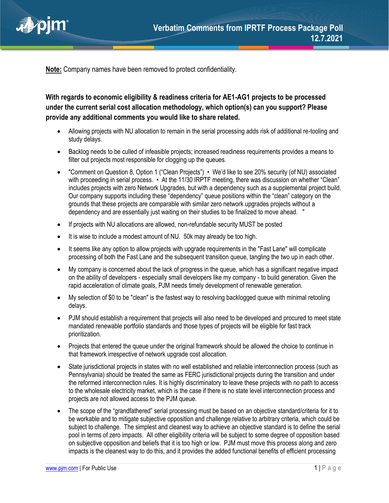

**Note:** Company names have been removed to protect confidentiality.

**With regards to economic eligibility & readiness criteria for AE1-AG1 projects to be processed under the current serial cost allocation methodology, which option(s) can you support? Please provide any additional comments you would like to share related.**

- Allowing projects with NU allocation to remain in the serial processing adds risk of additional re-tooling and study delays.
- Backlog needs to be culled of infeasible projects; increased readiness requirements provides a means to filter out projects most responsible for clogging up the queues.
- "Comment on Question 8, Option 1 ("Clean Projects") We'd like to see 20% security (of NU) associated with proceeding in serial process. • At the 11/30 IRPTF meeting, there was discussion on whether "Clean" includes projects with zero Network Upgrades, but with a dependency such as a supplemental project build. Our company supports including these "dependency" queue positions within the "clean" category on the grounds that these projects are comparable with similar zero network upgrades projects without a dependency and are essentially just waiting on their studies to be finalized to move ahead. "
- If projects with NU allocations are allowed, non-refundable security MUST be posted
- It is wise to include a modest amount of NU. 50k may already be too high.
- It seems like any option to allow projects with upgrade requirements in the "Fast Lane" will complicate processing of both the Fast Lane and the subsequent transition queue, tangling the two up in each other.
- My company is concerned about the lack of progress in the queue, which has a significant negative impact on the ability of developers - especially small developers like my company - to build generation. Given the rapid acceleration of climate goals, PJM needs timely development of renewable generation.
- My selection of \$0 to be "clean" is the fastest way to resolving backlogged queue with minimal retooling delays.
- PJM should establish a requirement that projects will also need to be developed and procured to meet state mandated renewable portfolio standards and those types of projects will be eligible for fast track prioritization.
- Projects that entered the queue under the original framework should be allowed the choice to continue in that framework irrespective of network upgrade cost allocation.
- State jurisdictional projects in states with no well established and reliable interconnection process (such as Pennsylvania) should be treated the same as FERC jurisdictional projects during the transition and under the reformed interconnection rules. It is highly discriminatory to leave these projects with no path to access to the wholesale electricity market, which is the case if there is no state level interconnection process and projects are not allowed access to the PJM queue.
- The scope of the "grandfathered" serial processing must be based on an objective standard/criteria for it to be workable and to mitigate subjective opposition and challenge relative to arbitrary criteria, which could be subject to challenge. The simplest and cleanest way to achieve an objective standard is to define the serial pool in terms of zero impacts. All other eligibility criteria will be subject to some degree of opposition based on subjective opposition and beliefs that it is too high or low. PJM must move this process along and zero impacts is the cleanest way to do this, and it provides the added functional benefits of efficient processing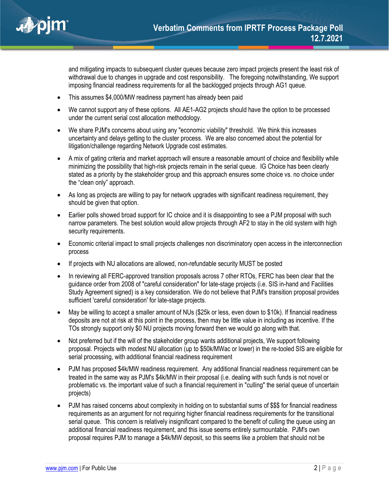

and mitigating impacts to subsequent cluster queues because zero impact projects present the least risk of withdrawal due to changes in upgrade and cost responsibility. The foregoing notwithstanding, We support imposing financial readiness requirements for all the backlogged projects through AG1 queue.

- This assumes \$4,000/MW readiness payment has already been paid
- We cannot support any of these options. All AE1-AG2 projects should have the option to be processed under the current serial cost allocation methodology.
- We share PJM's concerns about using any "economic viability" threshold. We think this increases uncertainty and delays getting to the cluster process. We are also concerned about the potential for litigation/challenge regarding Network Upgrade cost estimates.
- A mix of gating criteria and market approach will ensure a reasonable amount of choice and flexibility while minimizing the possibility that high-risk projects remain in the serial queue. IG Choice has been clearly stated as a priority by the stakeholder group and this approach ensures some choice vs. no choice under the "clean only" approach.
- As long as projects are willing to pay for network upgrades with significant readiness requirement, they should be given that option.
- Earlier polls showed broad support for IC choice and it is disappointing to see a PJM proposal with such narrow parameters. The best solution would allow projects through AF2 to stay in the old system with high security requirements.
- Economic criterial impact to small projects challenges non discriminatory open access in the interconnection process
- If projects with NU allocations are allowed, non-refundable security MUST be posted
- In reviewing all FERC-approved transition proposals across 7 other RTOs, FERC has been clear that the guidance order from 2008 of "careful consideration" for late-stage projects (i.e. SIS in-hand and Facilities Study Agreement signed) is a key consideration. We do not believe that PJM's transition proposal provides sufficient 'careful consideration' for late-stage projects.
- May be willing to accept a smaller amount of NUs (\$25k or less, even down to \$10k). If financial readiness deposits are not at risk at this point in the process, then may be little value in including as incentive. If the TOs strongly support only \$0 NU projects moving forward then we would go along with that.
- Not preferred but if the will of the stakeholder group wants additional projects, We support following proposal. Projects with modest NU allocation (up to \$50k/MWac or lower) in the re-tooled SIS are eligible for serial processing, with additional financial readiness requirement
- PJM has proposed \$4k/MW readiness requirement. Any additional financial readiness requirement can be treated in the same way as PJM's \$4k/MW in their proposal (i.e. dealing with such funds is not novel or problematic vs. the important value of such a financial requirement in "culling" the serial queue of uncertain projects)
- PJM has raised concerns about complexity in holding on to substantial sums of \$\$\$ for financial readiness requirements as an argument for not requiring higher financial readiness requirements for the transitional serial queue. This concern is relatively insignificant compared to the benefit of culling the queue using an additional financial readiness requirement, and this issue seems entirely surmountable. PJM's own proposal requires PJM to manage a \$4k/MW deposit, so this seems like a problem that should not be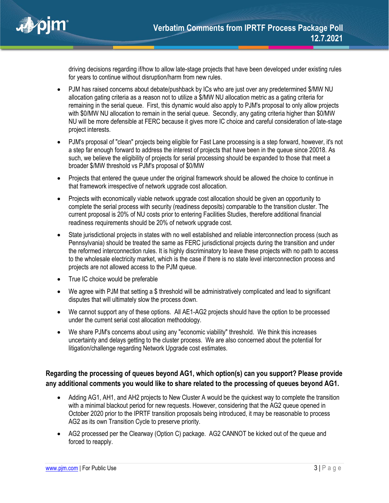

driving decisions regarding if/how to allow late-stage projects that have been developed under existing rules for years to continue without disruption/harm from new rules.

- PJM has raised concerns about debate/pushback by ICs who are just over any predetermined \$/MW NU allocation gating criteria as a reason not to utilize a \$/MW NU allocation metric as a gating criteria for remaining in the serial queue. First, this dynamic would also apply to PJM's proposal to only allow projects with \$0/MW NU allocation to remain in the serial queue. Secondly, any gating criteria higher than \$0/MW NU will be more defensible at FERC because it gives more IC choice and careful consideration of late-stage project interests.
- PJM's proposal of "clean" projects being eligible for Fast Lane processing is a step forward, however, it's not a step far enough forward to address the interest of projects that have been in the queue since 20018. As such, we believe the eligibility of projects for serial processing should be expanded to those that meet a broader \$/MW threshold vs PJM's proposal of \$0/MW
- Projects that entered the queue under the original framework should be allowed the choice to continue in that framework irrespective of network upgrade cost allocation.
- Projects with economically viable network upgrade cost allocation should be given an opportunity to complete the serial process with security (readiness deposits) comparable to the transition cluster. The current proposal is 20% of NU costs prior to entering Facilities Studies, therefore additional financial readiness requirements should be 20% of network upgrade cost.
- State jurisdictional projects in states with no well established and reliable interconnection process (such as Pennsylvania) should be treated the same as FERC jurisdictional projects during the transition and under the reformed interconnection rules. It is highly discriminatory to leave these projects with no path to access to the wholesale electricity market, which is the case if there is no state level interconnection process and projects are not allowed access to the PJM queue.
- True IC choice would be preferable
- We agree with PJM that setting a \$ threshold will be administratively complicated and lead to significant disputes that will ultimately slow the process down.
- We cannot support any of these options. All AE1-AG2 projects should have the option to be processed under the current serial cost allocation methodology.
- We share PJM's concerns about using any "economic viability" threshold. We think this increases uncertainty and delays getting to the cluster process. We are also concerned about the potential for litigation/challenge regarding Network Upgrade cost estimates.

## **Regarding the processing of queues beyond AG1, which option(s) can you support? Please provide any additional comments you would like to share related to the processing of queues beyond AG1.**

- Adding AG1, AH1, and AH2 projects to New Cluster A would be the quickest way to complete the transition with a minimal blackout period for new requests. However, considering that the AG2 queue opened in October 2020 prior to the IPRTF transition proposals being introduced, it may be reasonable to process AG2 as its own Transition Cycle to preserve priority.
- AG2 processed per the Clearway (Option C) package. AG2 CANNOT be kicked out of the queue and forced to reapply.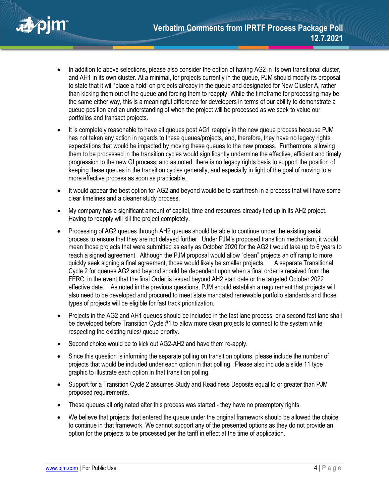

- In addition to above selections, please also consider the option of having AG2 in its own transitional cluster, and AH1 in its own cluster. At a minimal, for projects currently in the queue, PJM should modify its proposal to state that it will 'place a hold' on projects already in the queue and designated for New Cluster A, rather than kicking them out of the queue and forcing them to reapply. While the timeframe for processing may be the same either way, this is a meaningful difference for developers in terms of our ability to demonstrate a queue position and an understanding of when the project will be processed as we seek to value our portfolios and transact projects.
- It is completely reasonable to have all queues post AG1 reapply in the new queue process because PJM has not taken any action in regards to these queues/projects, and, therefore, they have no legacy rights expectations that would be impacted by moving these queues to the new process. Furthermore, allowing them to be processed in the transition cycles would significantly undermine the effective, efficient and timely progression to the new GI process; and as noted, there is no legacy rights basis to support the position of keeping these queues in the transition cycles generally, and especially in light of the goal of moving to a more effective process as soon as practicable.
- It would appear the best option for AG2 and beyond would be to start fresh in a process that will have some clear timelines and a cleaner study process.
- My company has a significant amount of capital, time and resources already tied up in its AH2 project. Having to reapply will kill the project completely.
- Processing of AG2 queues through AH2 queues should be able to continue under the existing serial process to ensure that they are not delayed further. Under PJM's proposed transition mechanism, it would mean those projects that were submitted as early as October 2020 for the AG2 t would take up to 6 years to reach a signed agreement. Although the PJM proposal would allow "clean" projects an off ramp to more quickly seek signing a final agreement, those would likely be smaller projects. A separate Transitional Cycle 2 for queues AG2 and beyond should be dependent upon when a final order is received from the FERC, in the event that the final Order is issued beyond AH2 start date or the targeted October 2022 effective date. As noted in the previous questions, PJM should establish a requirement that projects will also need to be developed and procured to meet state mandated renewable portfolio standards and those types of projects will be eligible for fast track prioritization.
- Projects in the AG2 and AH1 queues should be included in the fast lane process, or a second fast lane shall be developed before Transition Cycle #1 to allow more clean projects to connect to the system while respecting the existing rules/ queue priority.
- Second choice would be to kick out AG2-AH2 and have them re-apply.
- Since this question is informing the separate polling on transition options, please include the number of projects that would be included under each option in that polling. Please also include a slide 11 type graphic to illustrate each option in that transition polling.
- Support for a Transition Cycle 2 assumes Study and Readiness Deposits equal to or greater than PJM proposed requirements.
- These queues all originated after this process was started they have no preemptory rights.
- We believe that projects that entered the queue under the original framework should be allowed the choice to continue in that framework. We cannot support any of the presented options as they do not provide an option for the projects to be processed per the tariff in effect at the time of application.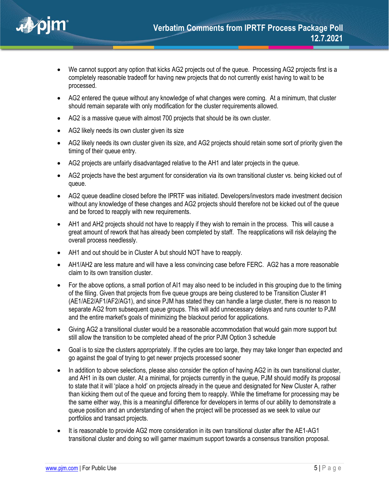

- We cannot support any option that kicks AG2 projects out of the queue. Processing AG2 projects first is a completely reasonable tradeoff for having new projects that do not currently exist having to wait to be processed.
- AG2 entered the queue without any knowledge of what changes were coming. At a minimum, that cluster should remain separate with only modification for the cluster requirements allowed.
- AG2 is a massive queue with almost 700 projects that should be its own cluster.
- AG2 likely needs its own cluster given its size
- AG2 likely needs its own cluster given its size, and AG2 projects should retain some sort of priority given the timing of their queue entry.
- AG2 projects are unfairly disadvantaged relative to the AH1 and later projects in the queue.
- AG2 projects have the best argument for consideration via its own transitional cluster vs. being kicked out of queue.
- AG2 queue deadline closed before the IPRTF was initiated. Developers/investors made investment decision without any knowledge of these changes and AG2 projects should therefore not be kicked out of the queue and be forced to reapply with new requirements.
- AH1 and AH2 projects should not have to reapply if they wish to remain in the process. This will cause a great amount of rework that has already been completed by staff. The reapplications will risk delaying the overall process needlessly.
- AH1 and out should be in Cluster A but should NOT have to reapply.
- AH1/AH2 are less mature and will have a less convincing case before FERC. AG2 has a more reasonable claim to its own transition cluster.
- For the above options, a small portion of AI1 may also need to be included in this grouping due to the timing of the filing. Given that projects from five queue groups are being clustered to be Transition Cluster #1 (AE1/AE2/AF1/AF2/AG1), and since PJM has stated they can handle a large cluster, there is no reason to separate AG2 from subsequent queue groups. This will add unnecessary delays and runs counter to PJM and the entire market's goals of minimizing the blackout period for applications.
- Giving AG2 a transitional cluster would be a reasonable accommodation that would gain more support but still allow the transition to be completed ahead of the prior PJM Option 3 schedule
- Goal is to size the clusters appropriately. If the cycles are too large, they may take longer than expected and go against the goal of trying to get newer projects processed sooner
- In addition to above selections, please also consider the option of having AG2 in its own transitional cluster, and AH1 in its own cluster. At a minimal, for projects currently in the queue, PJM should modify its proposal to state that it will 'place a hold' on projects already in the queue and designated for New Cluster A, rather than kicking them out of the queue and forcing them to reapply. While the timeframe for processing may be the same either way, this is a meaningful difference for developers in terms of our ability to demonstrate a queue position and an understanding of when the project will be processed as we seek to value our portfolios and transact projects.
- It is reasonable to provide AG2 more consideration in its own transitional cluster after the AE1-AG1 transitional cluster and doing so will garner maximum support towards a consensus transition proposal.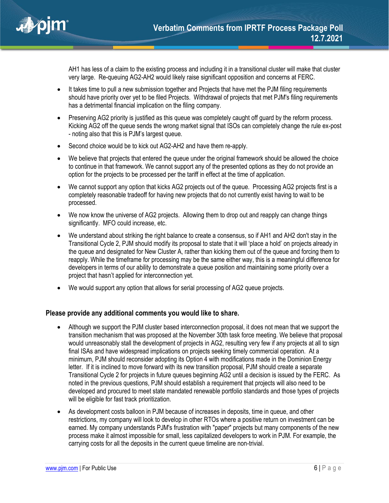

AH1 has less of a claim to the existing process and including it in a transitional cluster will make that cluster very large. Re-queuing AG2-AH2 would likely raise significant opposition and concerns at FERC.

- It takes time to pull a new submission together and Projects that have met the PJM filing requirements should have priority over yet to be filed Projects. Withdrawal of projects that met PJM's filing requirements has a detrimental financial implication on the filing company.
- Preserving AG2 priority is justified as this queue was completely caught off guard by the reform process. Kicking AG2 off the queue sends the wrong market signal that ISOs can completely change the rule ex-post - noting also that this is PJM's largest queue.
- Second choice would be to kick out AG2-AH2 and have them re-apply.
- We believe that projects that entered the queue under the original framework should be allowed the choice to continue in that framework. We cannot support any of the presented options as they do not provide an option for the projects to be processed per the tariff in effect at the time of application.
- We cannot support any option that kicks AG2 projects out of the queue. Processing AG2 projects first is a completely reasonable tradeoff for having new projects that do not currently exist having to wait to be processed.
- We now know the universe of AG2 projects. Allowing them to drop out and reapply can change things significantly. MFO could increase, etc.
- We understand about striking the right balance to create a consensus, so if AH1 and AH2 don't stay in the Transitional Cycle 2, PJM should modify its proposal to state that it will 'place a hold' on projects already in the queue and designated for New Cluster A, rather than kicking them out of the queue and forcing them to reapply. While the timeframe for processing may be the same either way, this is a meaningful difference for developers in terms of our ability to demonstrate a queue position and maintaining some priority over a project that hasn't applied for interconnection yet.
- We would support any option that allows for serial processing of AG2 queue projects.

## **Please provide any additional comments you would like to share.**

- Although we support the PJM cluster based interconnection proposal, it does not mean that we support the transition mechanism that was proposed at the November 30th task force meeting. We believe that proposal would unreasonably stall the development of projects in AG2, resulting very few if any projects at all to sign final ISAs and have widespread implications on projects seeking timely commercial operation. At a minimum, PJM should reconsider adopting its Option 4 with modifications made in the Dominion Energy letter. If it is inclined to move forward with its new transition proposal, PJM should create a separate Transitional Cycle 2 for projects in future queues beginning AG2 until a decision is issued by the FERC. As noted in the previous questions, PJM should establish a requirement that projects will also need to be developed and procured to meet state mandated renewable portfolio standards and those types of projects will be eligible for fast track prioritization.
- As development costs balloon in PJM because of increases in deposits, time in queue, and other restrictions, my company will look to develop in other RTOs where a positive return on investment can be earned. My company understands PJM's frustration with "paper" projects but many components of the new process make it almost impossible for small, less capitalized developers to work in PJM. For example, the carrying costs for all the deposits in the current queue timeline are non-trivial.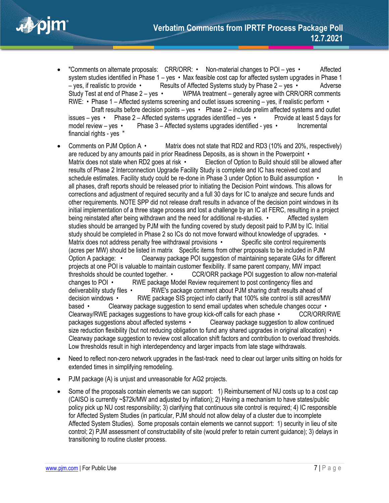

- "Comments on alternate proposals: CRR/ORR: Non-material changes to POI yes Affected system studies identified in Phase 1 – yes • Max feasible cost cap for affected system upgrades in Phase 1 – yes, if realistic to provide • Results of Affected Systems study by Phase 2 – yes • Adverse Study Test at end of Phase 2 – yes • WPMA treatment – generally agree with CRR/ORR comments RWE: • Phase 1 – Affected systems screening and outlet issues screening – yes, if realistic perform • Draft results before decision points – yes • Phase 2 – include prelim affected systems and outlet issues – yes • Phase  $2 -$  Affected systems upgrades identified – yes • Provide at least 5 days for model review – yes • Phase 3 – Affected systems upgrades identified - yes • Incremental financial rights - yes "
- Comments on PJM Option A Matrix does not state that RD2 and RD3 (10% and 20%, respectively) are reduced by any amounts paid in prior Readiness Deposits, as is shown in the Powerpoint • Matrix does not state when RD2 goes at risk • Election of Option to Build should still be allowed after results of Phase 2 Interconnection Upgrade Facility Study is complete and IC has received cost and schedule estimates. Facility study could be re-done in Phase 3 under Option to Build assumption • In all phases, draft reports should be released prior to initiating the Decision Point windows. This allows for corrections and adjustment of required security and a full 30 days for IC to analyze and secure funds and other requirements. NOTE SPP did not release draft results in advance of the decision point windows in its initial implementation of a three stage process and lost a challenge by an IC at FERC, resulting in a project being reinstated after being withdrawn and the need for additional re-studies. • Affected system studies should be arranged by PJM with the funding covered by study deposit paid to PJM by IC. Initial study should be completed in Phase 2 so ICs do not move forward without knowledge of upgrades. • Matrix does not address penalty free withdrawal provisions • Specific site control requirements (acres per MW) should be listed in matrix Specific items from other proposals to be included in PJM Option A package: • Clearway package POI suggestion of maintaining separate GIAs for different projects at one POI is valuable to maintain customer flexibility. If same parent company, MW impact thresholds should be counted together. • CCR/ORR package POI suggestion to allow non-material changes to POI • RWE package Model Review requirement to post contingency files and deliverability study files • RWE's package comment about PJM sharing draft results ahead of decision windows • RWE package SIS project info clarify that 100% site control is still acres/MW based • Clearway package suggestion to send email updates when schedule changes occur • Clearway/RWE packages suggestions to have group kick-off calls for each phase • CCR/ORR/RWE packages suggestions about affected systems • Clearway package suggestion to allow continued size reduction flexibility (but not reducing obligation to fund any shared upgrades in original allocation) • Clearway package suggestion to review cost allocation shift factors and contribution to overload thresholds. Low thresholds result in high interdependency and larger impacts from late stage withdrawals.
- Need to reflect non-zero network upgrades in the fast-track need to clear out larger units sitting on holds for extended times in simplifying remodeling.
- PJM package (A) is unjust and unreasonable for AG2 projects.
- Some of the proposals contain elements we can support: 1) Reimbursement of NU costs up to a cost cap (CAISO is currently ~\$72k/MW and adjusted by inflation); 2) Having a mechanism to have states/public policy pick up NU cost responsibility; 3) clarifying that continuous site control is required; 4) IC responsible for Affected System Studies (in particular, PJM should not allow delay of a cluster due to incomplete Affected System Studies). Some proposals contain elements we cannot support: 1) security in lieu of site control; 2) PJM assessment of constructability of site (would prefer to retain current guidance); 3) delays in transitioning to routine cluster process.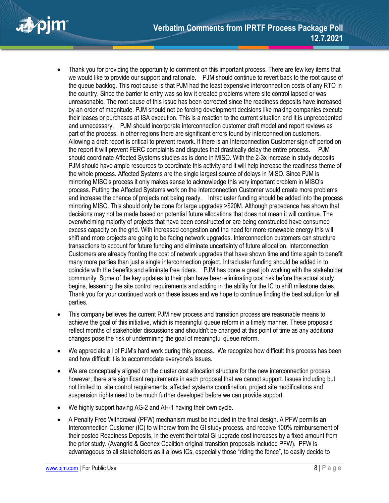

- Thank you for providing the opportunity to comment on this important process. There are few key items that we would like to provide our support and rationale. PJM should continue to revert back to the root cause of the queue backlog. This root cause is that PJM had the least expensive interconnection costs of any RTO in the country. Since the barrier to entry was so low it created problems where site control lapsed or was unreasonable. The root cause of this issue has been corrected since the readiness deposits have increased by an order of magnitude. PJM should not be forcing development decisions like making companies execute their leases or purchases at ISA execution. This is a reaction to the current situation and it is unprecedented and unnecessary. PJM should incorporate interconnection customer draft model and report reviews as part of the process. In other regions there are significant errors found by interconnection customers. Allowing a draft report is critical to prevent rework. If there is an Interconnection Customer sign off period on the report it will prevent FERC complaints and disputes that drastically delay the entire process. PJM should coordinate Affected Systems studies as is done in MISO. With the 2-3x increase in study deposits PJM should have ample resources to coordinate this activity and it will help increase the readiness theme of the whole process. Affected Systems are the single largest source of delays in MISO. Since PJM is mirroring MISO's process it only makes sense to acknowledge this very important problem in MISO's process. Putting the Affected Systems work on the Interconnection Customer would create more problems and increase the chance of projects not being ready. Intracluster funding should be added into the process mirroring MISO. This should only be done for large upgrades >\$20M. Although precedence has shown that decisions may not be made based on potential future allocations that does not mean it will continue. The overwhelming majority of projects that have been constructed or are being constructed have consumed excess capacity on the grid. With increased congestion and the need for more renewable energy this will shift and more projects are going to be facing network upgrades. Interconnection customers can structure transactions to account for future funding and eliminate uncertainty of future allocation. Interconnection Customers are already fronting the cost of network upgrades that have shown time and time again to benefit many more parties than just a single interconnection project. Intracluster funding should be added in to coincide with the benefits and eliminate free riders. PJM has done a great job working with the stakeholder community. Some of the key updates to their plan have been eliminating cost risk before the actual study begins, lessening the site control requirements and adding in the ability for the IC to shift milestone dates. Thank you for your continued work on these issues and we hope to continue finding the best solution for all parties.
- This company believes the current PJM new process and transition process are reasonable means to achieve the goal of this initiative, which is meaningful queue reform in a timely manner. These proposals reflect months of stakeholder discussions and shouldn't be changed at this point of time as any additional changes pose the risk of undermining the goal of meaningful queue reform.
- We appreciate all of PJM's hard work during this process. We recognize how difficult this process has been and how difficult it is to accommodate everyone's issues.
- We are conceptually aligned on the cluster cost allocation structure for the new interconnection process however, there are significant requirements in each proposal that we cannot support. Issues including but not limited to, site control requirements, affected systems coordination, project site modifications and suspension rights need to be much further developed before we can provide support.
- We highly support having AG-2 and AH-1 having their own cycle.
- A Penalty Free Withdrawal (PFW) mechanism must be included in the final design. A PFW permits an Interconnection Customer (IC) to withdraw from the GI study process, and receive 100% reimbursement of their posted Readiness Deposits, in the event their total GI upgrade cost increases by a fixed amount from the prior study. (Avangrid & Geenex Coalition original transition proposals included PFW). PFW is advantageous to all stakeholders as it allows ICs, especially those "riding the fence", to easily decide to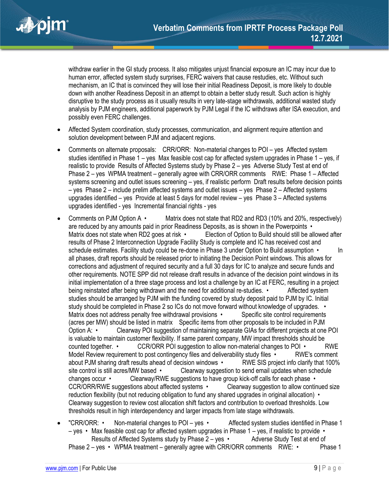

withdraw earlier in the GI study process. It also mitigates unjust financial exposure an IC may incur due to human error, affected system study surprises, FERC waivers that cause restudies, etc. Without such mechanism, an IC that is convinced they will lose their initial Readiness Deposit, is more likely to double down with another Readiness Deposit in an attempt to obtain a better study result. Such action is highly disruptive to the study process as it usually results in very late-stage withdrawals, additional wasted study analysis by PJM engineers, additional paperwork by PJM Legal if the IC withdraws after ISA execution, and possibly even FERC challenges.

- Affected System coordination, study processes, communication, and alignment require attention and solution development between PJM and adjacent regions.
- Comments on alternate proposals: CRR/ORR: Non-material changes to POI yes Affected system studies identified in Phase 1 – yes Max feasible cost cap for affected system upgrades in Phase 1 – yes, if realistic to provide Results of Affected Systems study by Phase 2 – yes Adverse Study Test at end of Phase 2 – yes WPMA treatment – generally agree with CRR/ORR comments RWE: Phase 1 – Affected systems screening and outlet issues screening – yes, if realistic perform Draft results before decision points – yes Phase 2 – include prelim affected systems and outlet issues – yes Phase 2 – Affected systems upgrades identified – yes Provide at least 5 days for model review – yes Phase 3 – Affected systems upgrades identified - yes Incremental financial rights - yes
- Comments on PJM Option A Matrix does not state that RD2 and RD3 (10% and 20%, respectively) are reduced by any amounts paid in prior Readiness Deposits, as is shown in the Powerpoints • Matrix does not state when RD2 goes at risk • Election of Option to Build should still be allowed after results of Phase 2 Interconnection Upgrade Facility Study is complete and IC has received cost and schedule estimates. Facility study could be re-done in Phase 3 under Option to Build assumption • In all phases, draft reports should be released prior to initiating the Decision Point windows. This allows for corrections and adjustment of required security and a full 30 days for IC to analyze and secure funds and other requirements. NOTE SPP did not release draft results in advance of the decision point windows in its initial implementation of a three stage process and lost a challenge by an IC at FERC, resulting in a project being reinstated after being withdrawn and the need for additional re-studies. • Affected system studies should be arranged by PJM with the funding covered by study deposit paid to PJM by IC. Initial study should be completed in Phase 2 so ICs do not move forward without knowledge of upgrades. • Matrix does not address penalty free withdrawal provisions • Specific site control requirements (acres per MW) should be listed in matrix Specific items from other proposals to be included in PJM Option A: • Clearway POI suggestion of maintaining separate GIAs for different projects at one POI is valuable to maintain customer flexibility. If same parent company, MW impact thresholds should be counted together. • CCR/ORR POI suggestion to allow non-material changes to POI • RWE Model Review requirement to post contingency files and deliverability study files • RWE's comment about PJM sharing draft results ahead of decision windows • RWE SIS project info clarify that 100% site control is still acres/MW based • Clearway suggestion to send email updates when schedule changes occur • Clearway/RWE suggestions to have group kick-off calls for each phase • CCR/ORR/RWE suggestions about affected systems • Clearway suggestion to allow continued size reduction flexibility (but not reducing obligation to fund any shared upgrades in original allocation) • Clearway suggestion to review cost allocation shift factors and contribution to overload thresholds. Low thresholds result in high interdependency and larger impacts from late stage withdrawals.
- "CRR/ORR: Non-material changes to POI yes Affected system studies identified in Phase 1 – yes • Max feasible cost cap for affected system upgrades in Phase 1 – yes, if realistic to provide • Results of Affected Systems study by Phase  $2 - yes$  • Adverse Study Test at end of Phase  $2 - y$ es • WPMA treatment – generally agree with CRR/ORR comments RWE: • Phase 1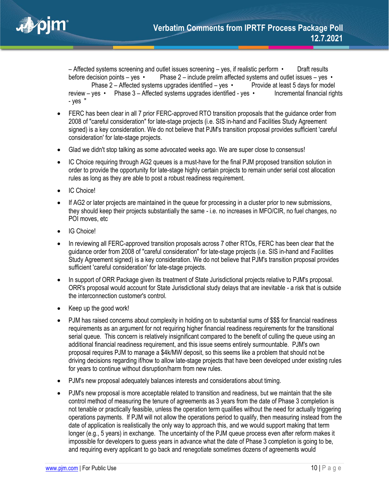– Affected systems screening and outlet issues screening – yes, if realistic perform • Draft results before decision points – yes • Phase  $2$  – include prelim affected systems and outlet issues – yes • Phase 2 – Affected systems upgrades identified – yes • Provide at least 5 days for model review – yes • Phase 3 – Affected systems upgrades identified - yes • Incremental financial rights - yes "

- FERC has been clear in all 7 prior FERC-approved RTO transition proposals that the guidance order from 2008 of "careful consideration" for late-stage projects (i.e. SIS in-hand and Facilities Study Agreement signed) is a key consideration. We do not believe that PJM's transition proposal provides sufficient 'careful consideration' for late-stage projects.
- Glad we didn't stop talking as some advocated weeks ago. We are super close to consensus!
- IC Choice requiring through AG2 queues is a must-have for the final PJM proposed transition solution in order to provide the opportunity for late-stage highly certain projects to remain under serial cost allocation rules as long as they are able to post a robust readiness requirement.
- IC Choice!
- If AG2 or later projects are maintained in the queue for processing in a cluster prior to new submissions, they should keep their projects substantially the same - i.e. no increases in MFO/CIR, no fuel changes, no POI moves, etc
- IG Choice!
- In reviewing all FERC-approved transition proposals across 7 other RTOs, FERC has been clear that the guidance order from 2008 of "careful consideration" for late-stage projects (i.e. SIS in-hand and Facilities Study Agreement signed) is a key consideration. We do not believe that PJM's transition proposal provides sufficient 'careful consideration' for late-stage projects.
- In support of ORR Package given its treatment of State Jurisdictional projects relative to PJM's proposal. ORR's proposal would account for State Jurisdictional study delays that are inevitable - a risk that is outside the interconnection customer's control.
- Keep up the good work!
- PJM has raised concerns about complexity in holding on to substantial sums of \$\$\$ for financial readiness requirements as an argument for not requiring higher financial readiness requirements for the transitional serial queue. This concern is relatively insignificant compared to the benefit of culling the queue using an additional financial readiness requirement, and this issue seems entirely surmountable. PJM's own proposal requires PJM to manage a \$4k/MW deposit, so this seems like a problem that should not be driving decisions regarding if/how to allow late-stage projects that have been developed under existing rules for years to continue without disruption/harm from new rules.
- PJM's new proposal adequately balances interests and considerations about timing.
- PJM's new proposal is more acceptable related to transition and readiness, but we maintain that the site control method of measuring the tenure of agreements as 3 years from the date of Phase 3 completion is not tenable or practically feasible, unless the operation term qualifies without the need for actually triggering operations payments. If PJM will not allow the operations period to qualify, then measuring instead from the date of application is realistically the only way to approach this, and we would support making that term longer (e.g., 5 years) in exchange. The uncertainty of the PJM queue process even after reform makes it impossible for developers to guess years in advance what the date of Phase 3 completion is going to be, and requiring every applicant to go back and renegotiate sometimes dozens of agreements would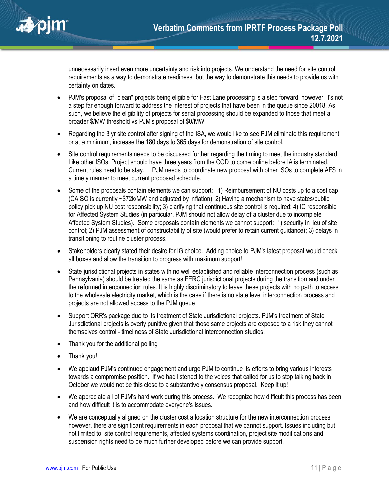

unnecessarily insert even more uncertainty and risk into projects. We understand the need for site control requirements as a way to demonstrate readiness, but the way to demonstrate this needs to provide us with certainty on dates.

- PJM's proposal of "clean" projects being eligible for Fast Lane processing is a step forward, however, it's not a step far enough forward to address the interest of projects that have been in the queue since 20018. As such, we believe the eligibility of projects for serial processing should be expanded to those that meet a broader \$/MW threshold vs PJM's proposal of \$0/MW
- Regarding the 3 yr site control after signing of the ISA, we would like to see PJM eliminate this requirement or at a minimum, increase the 180 days to 365 days for demonstration of site control.
- Site control requirements needs to be discussed further regarding the timing to meet the industry standard. Like other ISOs, Project should have three years from the COD to come online before IA is terminated. Current rules need to be stay. PJM needs to coordinate new proposal with other ISOs to complete AFS in a timely manner to meet current proposed schedule.
- Some of the proposals contain elements we can support: 1) Reimbursement of NU costs up to a cost cap (CAISO is currently ~\$72k/MW and adjusted by inflation); 2) Having a mechanism to have states/public policy pick up NU cost responsibility; 3) clarifying that continuous site control is required; 4) IC responsible for Affected System Studies (in particular, PJM should not allow delay of a cluster due to incomplete Affected System Studies). Some proposals contain elements we cannot support: 1) security in lieu of site control; 2) PJM assessment of constructability of site (would prefer to retain current guidance); 3) delays in transitioning to routine cluster process.
- Stakeholders clearly stated their desire for IG choice. Adding choice to PJM's latest proposal would check all boxes and allow the transition to progress with maximum support!
- State jurisdictional projects in states with no well established and reliable interconnection process (such as Pennsylvania) should be treated the same as FERC jurisdictional projects during the transition and under the reformed interconnection rules. It is highly discriminatory to leave these projects with no path to access to the wholesale electricity market, which is the case if there is no state level interconnection process and projects are not allowed access to the PJM queue.
- Support ORR's package due to its treatment of State Jurisdictional projects. PJM's treatment of State Jurisdictional projects is overly punitive given that those same projects are exposed to a risk they cannot themselves control - timeliness of State Jurisdictional interconnection studies.
- Thank you for the additional polling
- Thank you!
- We applaud PJM's continued engagement and urge PJM to continue its efforts to bring various interests towards a compromise position. If we had listened to the voices that called for us to stop talking back in October we would not be this close to a substantively consensus proposal. Keep it up!
- We appreciate all of PJM's hard work during this process. We recognize how difficult this process has been and how difficult it is to accommodate everyone's issues.
- We are conceptually aligned on the cluster cost allocation structure for the new interconnection process however, there are significant requirements in each proposal that we cannot support. Issues including but not limited to, site control requirements, affected systems coordination, project site modifications and suspension rights need to be much further developed before we can provide support.